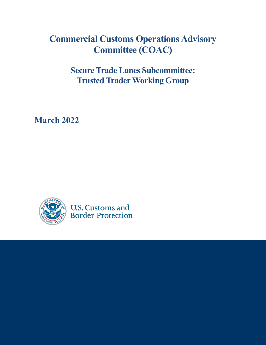## **Commercial Customs Operations Advisory Committee (COAC)**

**Secure Trade Lanes Subcommittee: Trusted Trader Working Group**

**March 2022**



**U.S. Customs and Border Protection**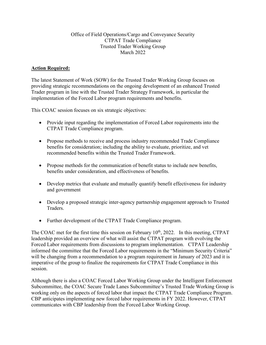## Office of Field Operations/Cargo and Conveyance Security CTPAT Trade Compliance Trusted Trader Working Group March 2022

## **Action Required:**

The latest Statement of Work (SOW) for the Trusted Trader Working Group focuses on providing strategic recommendations on the ongoing development of an enhanced Trusted Trader program in line with the Trusted Trader Strategy Framework, in particular the implementation of the Forced Labor program requirements and benefits.

This COAC session focuses on six strategic objectives:

- Provide input regarding the implementation of Forced Labor requirements into the CTPAT Trade Compliance program.
- Propose methods to receive and process industry recommended Trade Compliance benefits for consideration; including the ability to evaluate, prioritize, and vet recommended benefits within the Trusted Trader Framework.
- Propose methods for the communication of benefit status to include new benefits, benefits under consideration, and effectiveness of benefits.
- Develop metrics that evaluate and mutually quantify benefit effectiveness for industry and government
- Develop a proposed strategic inter-agency partnership engagement approach to Trusted Traders.
- Further development of the CTPAT Trade Compliance program.

The COAC met for the first time this session on February  $10<sup>th</sup>$ , 2022. In this meeting, CTPAT leadership provided an overview of what will assist the CTPAT program with evolving the Forced Labor requirements from discussions to program implementation. CTPAT Leadership informed the committee that the Forced Labor requirements in the "Minimum Security Criteria" will be changing from a recommendation to a program requirement in January of 2023 and it is imperative of the group to finalize the requirements for CTPAT Trade Compliance in this session.

Although there is also a COAC Forced Labor Working Group under the Intelligent Enforcement Subcommittee, the COAC Secure Trade Lanes Subcommittee's Trusted Trade Working Group is working only on the aspects of forced labor that impact the CTPAT Trade Compliance Program. CBP anticipates implementing new forced labor requirements in FY 2022. However, CTPAT communicates with CBP leadership from the Forced Labor Working Group.